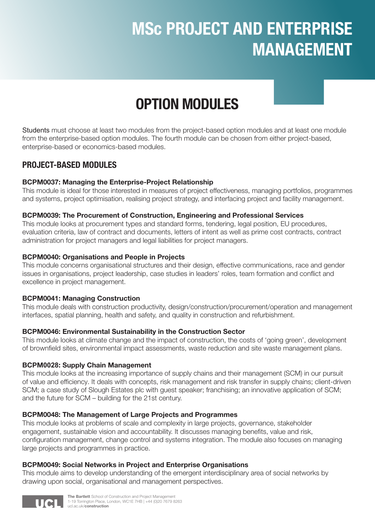# MSc PROJECT AND ENTERPRISE MANAGEMENT

## OPTION MODULES

Students must choose at least two modules from the project-based option modules and at least one module from the enterprise-based option modules. The fourth module can be chosen from either project-based, enterprise-based or economics-based modules.

## PROJECT-BASED MODULES

#### BCPM0037: Managing the Enterprise-Project Relationship

This module is ideal for those interested in measures of project effectiveness, managing portfolios, programmes and systems, project optimisation, realising project strategy, and interfacing project and facility management.

#### BCPM0039: The Procurement of Construction, Engineering and Professional Services

This module looks at procurement types and standard forms, tendering, legal position, EU procedures, evaluation criteria, law of contract and documents, letters of intent as well as prime cost contracts, contract administration for project managers and legal liabilities for project managers.

#### BCPM0040: Organisations and People in Projects

This module concerns organisational structures and their design, effective communications, race and gender issues in organisations, project leadership, case studies in leaders' roles, team formation and conflict and excellence in project management.

#### BCPM0041: Managing Construction

This module deals with construction productivity, design/construction/procurement/operation and management interfaces, spatial planning, health and safety, and quality in construction and refurbishment.

#### BCPM0046: Environmental Sustainability in the Construction Sector

This module looks at climate change and the impact of construction, the costs of 'going green', development of brownfield sites, environmental impact assessments, waste reduction and site waste management plans.

#### BCPM**0028**: Supply Chain Management

This module looks at the increasing importance of supply chains and their management (SCM) in our pursuit of value and efficiency. It deals with concepts, risk management and risk transfer in supply chains; client-driven SCM; a case study of Slough Estates plc with guest speaker; franchising; an innovative application of SCM; and the future for SCM – building for the 21st century.

#### BCPM0048: The Management of Large Projects and Programmes

This module looks at problems of scale and complexity in large projects, governance, stakeholder engagement, sustainable vision and accountability. It discusses managing benefits, value and risk, configuration management, change control and systems integration. The module also focuses on managing large projects and programmes in practice.

#### BCPM0049: Social Networks in Project and Enterprise Organisations

This module aims to develop understanding of the emergent interdisciplinary area of social networks by drawing upon social, organisational and management perspectives.

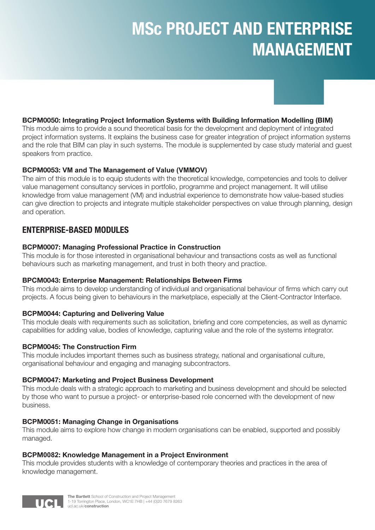# MSc PROJECT AND ENTERPRISE MANAGEMENT



#### BCPM0050: Integrating Project Information Systems with Building Information Modelling (BIM)

This module aims to provide a sound theoretical basis for the development and deployment of integrated project information systems. It explains the business case for greater integration of project information systems and the role that BIM can play in such systems. The module is supplemented by case study material and guest speakers from practice.

#### BCPM0053: **VM and The Management of Value (VMMOV)**

The aim of this module is to equip students with the theoretical knowledge, competencies and tools to deliver value management consultancy services in portfolio, programme and project management. It will utilise knowledge from value management (VM) and industrial experience to demonstrate how value-based studies can give direction to projects and integrate multiple stakeholder perspectives on value through planning, design and operation.

### ENTERPRISE-BASED MODULES

#### BCPM0007: Managing Professional Practice **in Construction**

This module is for those interested in organisational behaviour and transactions costs as well as functional behaviours such as marketing management, and trust in both theory and practice.

#### BPCM0043: Enterprise Management: Relationships Between Firms

This module aims to develop understanding of individual and organisational behaviour of firms which carry out projects. A focus being given to behaviours in the marketplace, especially at the Client-Contractor Interface.

#### BCPM0044: Capturing and Delivering Value

This module deals with requirements such as solicitation, briefing and core competencies, as well as dynamic capabilities for adding value, bodies of knowledge, capturing value and the role of the systems integrator.

#### BCPM0045: The Construction Firm

This module includes important themes such as business strategy, national and organisational culture, organisational behaviour and engaging and managing subcontractors.

#### BCPM0047: Marketing and Project Business Development

This module deals with a strategic approach to marketing and business development and should be selected by those who want to pursue a project- or enterprise-based role concerned with the development of new business.

#### BCPM0051: Managing Change in Organisations

This module aims to explore how change in modern organisations can be enabled, supported and possibly managed.

#### BCPM**0082**: Knowledge Management in a Project Environment

This module provides students with a knowledge of contemporary theories and practices in the area of knowledge management.